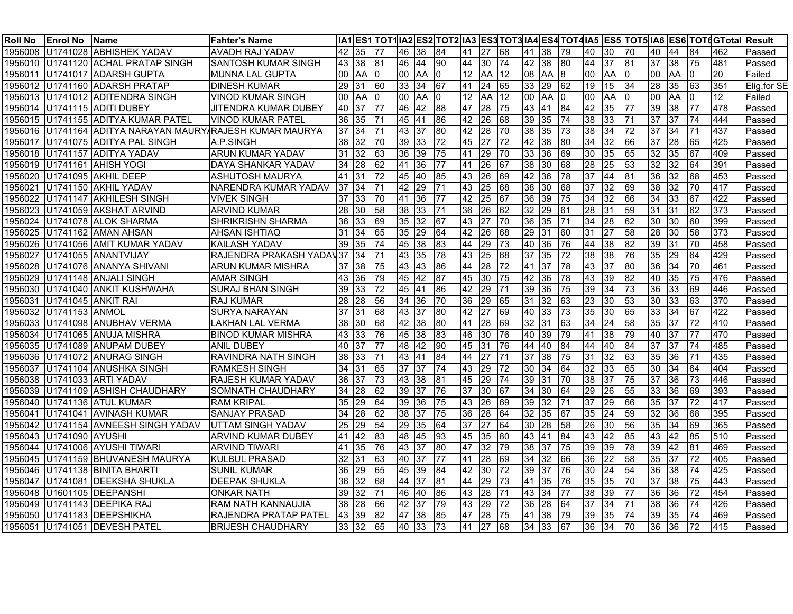| <b>Roll No</b> | lEnrol No                | lName                                                     | <b>Fahter's Name</b>       |                 |           |    |                 |          |                 |                 |                 |                  |                 |           |                 |                 |                 |                 |                 |                  |                 | IA1 ES1 TOT1 IA2 ES2 TOT2 IA3 ES3 TOT3 IA4 ES4 TOT4 IA5 ES5 TOT5 IA6 ES6 TOT6GTotal Result |             |
|----------------|--------------------------|-----------------------------------------------------------|----------------------------|-----------------|-----------|----|-----------------|----------|-----------------|-----------------|-----------------|------------------|-----------------|-----------|-----------------|-----------------|-----------------|-----------------|-----------------|------------------|-----------------|--------------------------------------------------------------------------------------------|-------------|
|                |                          | 1956008 U1741028 ABHISHEK YADAV                           | AVADH RAJ YADAV            | 42              | 35        | 77 | 46              | 38       | 84              | 41              | 27              | 68               | 41              | 38        | 179             | 40              | 30              | I70             | 40              | 44               | 84              | 462                                                                                        | Passed      |
|                |                          | 1956010 IU1741120 ACHAL PRATAP SINGH                      | <b>SANTOSH KUMAR SINGH</b> | 43              | 38        | 81 | 46              | 44       | 190             | 44              | 30              | 74               | 42              | 38        | 180             | 44              | 37              | 181             | 37              | 38               | 75              | 481                                                                                        | Passed      |
|                |                          | 1956011 U1741017 ADARSH GUPTA                             | MUNNA LAL GUPTA            | 00              | AA 0      |    | 00              | $AA$ $0$ |                 | 12              | AA 12           |                  |                 | 08 AA 8   |                 | 00              | AA   0          |                 | 00              | AA               | I0              | 20                                                                                         | Failed      |
|                |                          | 1956012 U1741160 ADARSH PRATAP                            | <b>DINESH KUMAR</b>        | 29              | 31        | 60 | 33              | 34       | 67              | 41              | 24              | <b>65</b>        | 33              | 29        | 62              | 19              | 15              | 34              | 28              | 35               | 63              | 351                                                                                        | Elig.for SE |
|                |                          | 1956013 U1741012 ADITENDRA SINGH                          | <b>VINOD KUMAR SINGH</b>   | 00              | AA        |    | 00              | AA       | 10              | 12 <sup>2</sup> | AA 112          |                  | 00              | AA        | I0              | $00\,$          | <b>JAA</b>      | I٥              | 00              | AA               | I0              | 12                                                                                         | Failed      |
|                |                          | 1956014 U1741115 ADITI DUBEY                              | JITENDRA KUMAR DUBEY       | 40              | 37        | 77 | 46              | 42       | 188             | 47              | 28.             | 175              | 43              | <b>41</b> | 84              | 42              | 35              | 177             | 39              | 38               | 77              | 478                                                                                        | Passed      |
|                |                          | 1956015 U1741155 ADITYA KUMAR PATEL                       | <b>VINOD KUMAR PATEL</b>   | 36              | 35        | 71 | 45              | 41       | 86              | 42              | $\overline{26}$ | $\overline{68}$  | 39 35           |           | 174             | 38              | 33              | $\overline{71}$ | 37              | 37               | 74              | 444                                                                                        | Passed      |
|                |                          | 1956016 U1741164 ADITYA NARAYAN MAURY RAJESH KUMAR MAURYA |                            | 37              | 34        | 71 | 43              | 37       | 80              | $ 42\rangle$    | 28              | 170              | 38 35           |           | 73              | 38              | 34              | 72              | 37              | 34               | 71              | 437                                                                                        | Passed      |
|                |                          | 1956017 U1741075 ADITYA PAL SINGH                         | A.P.SINGH                  | 38              | 32        | 70 | 39              | 33       | 72              | 45              | 27              | 72               | 42              | 38        | 180             | 34              | 32              | 66              | 37              | 28               | 65              | 425                                                                                        | Passed      |
|                |                          | 1956018 U1741157 ADITYA YADAV                             | ARUN KUMAR YADAV           | 31              | 32        | 63 | 36              | 39       | 175             | 41              | 29              | 170              | 33              | 36        | 169             | 30              | 35              | 65              | 32              | 35               | 67              | 409                                                                                        | Passed      |
|                |                          | 1956019 U1741161 AHISH YOGI                               | DAYA SHANKAR YADAV         | 34              | 28        | 62 | 41              | 36       | 177             | 41              | 26              | 67               | 38              | 30        | 168             | 28              | 25              | 53              | 32              | 32               | 64              | 391                                                                                        | Passed      |
|                |                          | 1956020 U1741095 AKHIL DEEP                               | ASHUTOSH MAURYA            | 41              | 31        | 72 | 45              | 40       | 85              | 43              | 26              | 69               | 42              | 36        | 78              | 37              | 44              | 81              | 36              | $\overline{32}$  | 68              | 453                                                                                        | Passed      |
| 1956021        |                          | U1741150 AKHIL YADAV                                      | NARENDRA KUMAR YADAV       | $\overline{37}$ | 34        | 71 | $ 42\rangle$    | 29       | I71             | $ 43\rangle$    | 25 68           |                  | 38 30           |           | 68              | 37              | <b>32</b>       | 169             | 38              | $32\overline{)}$ | 70              | 417                                                                                        | Passed      |
| 1956022        |                          | U1741147 AKHILESH SINGH                                   | <b>VIVEK SINGH</b>         | 37              | 33        | 70 | 41              | 36       | 177             | 42              | 25              | 167              | 36 39           |           | 75              | 34              | 32              | 66              | 34              | 33               | 67              | 422                                                                                        | Passed      |
| 1956023        |                          | U1741059 AKSHAT ARVIND                                    | <b>ARVIND KUMAR</b>        | 28              | 30        | 58 | $\overline{38}$ | 33       | 71              | 36              | 26              | 62               | 32 29           |           | 61              | $\overline{28}$ | 131             | 59              | 31              | 31               | 62              | 373                                                                                        | Passed      |
|                |                          | 1956024 U1741078 ALOK SHARMA                              | SHRIKRISHN SHARMA          | 36              | 33        | 69 | 35              | 32       | 67              | 43              | 27              | 170              | 36              | 35        | 71              | 34              | 28              | 62              | 30              | 30               | 60              | 399                                                                                        | lPassed     |
|                |                          | 1956025 U1741162 AMAN AHSAN                               | <b>AHSAN ISHTIAQ</b>       | 31              | 34        | 65 | 35              | 29       | 64              | 42              | $\overline{26}$ | 168              | 29 31           |           | <b>60</b>       | 31              | $\overline{27}$ | 58              | $\overline{28}$ | 30               | 58              | 373                                                                                        | Passed      |
| 1956026        |                          | U1741056 AMIT KUMAR YADAV                                 | KAILASH YADAV              | 39              | 35        | 74 | 45              | 38       | 83              | 44              | 29              | 173              | 40              | 36        | 76              | 44              | I38             | 82              | 39              | 31               | 70              | 458                                                                                        | Passed      |
| 1956027        |                          | U1741055 ANANTVIJAY                                       | RAJENDRA PRAKASH YADAY     | 137             | 34        | 71 | 43              | 35       | 178             | 43              | 25              | 68               | 37              | 35        | 72              | $\overline{38}$ | 38              | 76              | 35              | 29               | 64              | 429                                                                                        | Passed      |
| 1956028        |                          | U1741076 ANANYA SHIVANI                                   | ARUN KUMAR MISHRA          | 37              | 38        | 75 | 43              | 43       | 86              | 44              | 28              | 72               | 41              | 37        | 78              | 43              | 137             | 80              | 36              | 34               | 70              | 461                                                                                        | Passed      |
| 1956029        |                          | U1741148 ANJALI SINGH                                     | AMAR SINGH                 | 43              | 36        | 79 | 45              | 42       | 87              | 45              | 30 <sup>2</sup> | 75               | 42              | 36        | 178             | 43              | 39              | 82              | 40              | 35               | 75              | 476                                                                                        | Passed      |
|                |                          | 1956030 U1741040 ANKIT KUSHWAHA                           | <b>SURAJ BHAN SINGH</b>    | 39              | 33        | 72 | 45              | 41       | 86              | 42              | $\overline{29}$ | 71               | 39              | 36        | 75              | 39              | 34              | 73              | 36              | $\overline{33}$  | 69              | 446                                                                                        | Passed      |
| 1956031        |                          | U1741045 ANKIT RAI                                        | <b>RAJ KUMAR</b>           | 28              | 28        | 56 | 34              | 36       | 170             | 36              | 29              | 65               | 31 32           |           | 63              | 23              | 30              | 53              | 30              | 33               | 63              | 370                                                                                        | Passed      |
|                | 1956032 JU1741153 JANMOL |                                                           | <b>SURYA NARAYAN</b>       | 37              | 31        | 68 | 43              | 37       | 80              | 42              | 27              | 69               | 40              | 33        | $\overline{73}$ | 35              | 130             | 65              | 33              | 34               | 67              | 422                                                                                        | Passed      |
|                |                          | 1956033 U1741098 ANUBHAV VERMA                            | LAKHAN LAL VERMA           | 38              | 30        | 68 | 42              | 38       | 180             | 41              | 28              | 169              | $32 \ 31$       |           | 163             | 34              | 124             | 58              | 35              | 37               | 72              | 410                                                                                        | Passed      |
|                |                          | 1956034 IU1741065 IANUJA MISHRA                           | <b>BINOD KUMAR MISHRA</b>  | 43              | 33        | 76 | 45              | 38       | $\overline{83}$ | 46              | 30              | I76              | 40              | 39        | $\overline{79}$ | 41              | 38              | <b>179</b>      | 40              | 37               | 77              | 470                                                                                        | Passed      |
|                |                          | 1956035 U1741089 ANUPAM DUBEY                             | <b>ANIL DUBEY</b>          | 40              | 37        | 77 | 48              | 42       | 90              | $\overline{45}$ | 31              | $\overline{76}$  | 44 40           |           | 84              | 44              | 40              | 84              | 37              | $\overline{37}$  | 74              | 485                                                                                        | Passed      |
| 1956036        |                          | U1741072 ANURAG SINGH                                     | <b>RAVINDRA NATH SINGH</b> | $\overline{38}$ | 33        | 71 | $\overline{43}$ | 41       | 84              | 44              | 27              | 71               | 37              | 38        | 75              | 31              | 32              | 63              | 35              | 36               | 71              | 435                                                                                        | Passed      |
| 1956037        |                          | U1741104 ANUSHKA SINGH                                    | <b>RAMKESH SINGH</b>       | 34              | 31        | 65 | 37              | 37       | 74              | 43              | 29              | 72               | 30 <sup>7</sup> | 34        | 64              | $\overline{32}$ | 33              | 65              | 30              | 34               | 64              | 404                                                                                        | Passed      |
|                |                          | 1956038 U1741033 ARTI YADAV                               | <b>RAJESH KUMAR YADAV</b>  | 36              | 37        | 73 | 43              | 38       | 81              | 45              | 29              | $\overline{74}$  | 39 I            | 31        | 70              | 38              | 137             | 75              | 37              | 36               | 73              | 446                                                                                        | Passed      |
|                |                          | 1956039 U1741109 ASHISH CHAUDHARY                         | SOMNATH CHAUDHARY          | 34              | 28        | 62 | 39              | 37       | 176             | $\overline{37}$ | 30              | 67               | 34 30           |           | 64              | 29              | 26              | 55              | 33              | 36               | 69              | 393                                                                                        | Passed      |
|                |                          | 1956040 U1741136 ATUL KUMAR                               | <b>RAM KRIPAL</b>          | 35              | 29        | 64 | 39              | 36       | 75              | 43              | 26              | 69               | 39 32           |           | 71              | $\overline{37}$ | 29              | 66              | 35              | 37               | $\overline{72}$ | 417                                                                                        | Passed      |
|                |                          | 1956041 U1741041 AVINASH KUMAR                            | <b>SANJAY PRASAD</b>       | 34              | 28        | 62 | 38              | 37       | $\overline{75}$ | 36              | 28              | 64               | 32              | 35        | 167             | 35              | 24              | 59              | 32              | 36               | 68              | 395                                                                                        | Passed      |
|                |                          | 1956042 U1741154 AVNEESH SINGH YADAV                      | <b>IUTTAM SINGH YADAV</b>  | 25              | 29        | 54 | 29              | 35       | 64              | 37              | 27              | 64               | 30 <sup>2</sup> | 28        | 58              | 26              | 30              | 56              | 35              | 34               | 69              | 365                                                                                        | Passed      |
|                | 1956043 U1741090 AYUSHI  |                                                           | <b>ARVIND KUMAR DUBEY</b>  | 41              | 42        | 83 | 48              | 45       | 193             | 45              | 35              | <b>80</b>        | 43 41           |           | 84              | 43              | <b>42</b>       | 85              | 43              | 42               | 85              | 510                                                                                        | Passed      |
|                |                          | 1956044 U1741006 AYUSHI TIWARI                            | <b>ARVIND TIWARI</b>       | 41              | 35        | 76 | 43              | 37       | 80              | 47              | $32 \mid 79$    |                  | 38 37           |           | 175             | 39              | 39              | 178             | 39              | 42               | 81              | 469                                                                                        | Passed      |
|                |                          | 1956045 U1741159 BHUVANESH MAURYA                         | <b>KULBUL PRASAD</b>       | 32              | 31        | 63 | 40              | 37       | 177             | 41              | 28              | <b>69</b>        | 34 32           |           | 166             | 36              | 22              | 58              | 35              | 37               | 72              | 405                                                                                        | Passed      |
| 1956046        |                          | U1741138 BINITA BHARTI                                    | <b>SUNIL KUMAR</b>         | 36              | 29        | 65 | 45              | 39       | 84              | $ 42\rangle$    | 30              | $\overline{72}$  | 39              | 37        | 76              | 30              | 24              | 54              | 36              | 38               | 74              | 425                                                                                        | Passed      |
| 1956047        |                          | U1741081 IDEEKSHA SHUKLA                                  | <b>DEEPAK SHUKLA</b>       | 36              | 32        | 68 | 44              | 37       | 81              | 44              | 29              | 73               | 41              | 35        | 76              | 35              | 35              | 170             | 37              | 38               | 75              | 443                                                                                        | Passed      |
| 1956048        |                          | U1601105 DEEPANSHI                                        | <b>ONKAR NATH</b>          | 39              | 32        | 71 | 46              | 40       | 86              | 43              | 28              | 71               | 43              | 34        | $\overline{77}$ | 38              | $\overline{39}$ | $\overline{77}$ | 36              | 36               | $\overline{72}$ | 454                                                                                        | Passed      |
| 1956049        |                          | U1741143 DEEPIKA RAJ                                      | RAM NATH KANNAUJIA         | $\overline{38}$ | <b>28</b> | 66 | $\overline{42}$ | 37       | 79              | $\overline{43}$ | 29              | $\overline{172}$ | 36 28           |           | 64              | 37              | 34              | 171             | 38              | 36               | 74              | 426                                                                                        | Passed      |
|                |                          | 1956050 U1741183 DEEPSHIKHA                               | RAJENDRA PRATAP PATEL      | 43              | 39        | 82 | 47              | 38       | 85              | 47              | 28              | 75               | 41              | 38        | 79              | 39              | 35              | 74              | 39              | 35               | 74              | 469                                                                                        | Passed      |
|                |                          | 1956051 U1741051 IDEVESH PATEL                            | <b>BRIJESH CHAUDHARY</b>   | 33 32           |           | 65 | 40 <sup>1</sup> | 33       | $\overline{73}$ | 41              | $\overline{27}$ | 68               | 34 33           |           | 67              | 36              | 34              | $\overline{70}$ | 36              | 36               | 72              | 415                                                                                        | Passed      |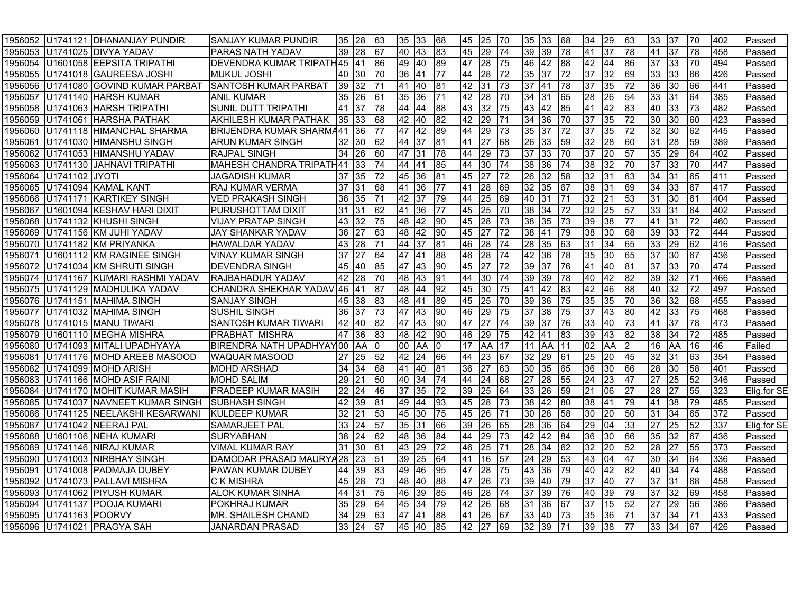|         |                         | 1956052 IU1741121 IDHANANJAY PUNDIR | SANJAY KUMAR PUNDIR             | 35 | 28                  | 163             | 35    | 33 | 168             | 45 | 25              | 170             | 35 33           |            | 168             | 34              | 29              | 163             | 33              | 137       | 70              | 402 | Passed        |
|---------|-------------------------|-------------------------------------|---------------------------------|----|---------------------|-----------------|-------|----|-----------------|----|-----------------|-----------------|-----------------|------------|-----------------|-----------------|-----------------|-----------------|-----------------|-----------|-----------------|-----|---------------|
|         |                         | 1956053 IU1741025 IDIVYA YADAV      | PARAS NATH YADAV                | 39 | 28                  | 67              | 40    | 43 | 83              | 45 | 29              | 74              | 39              | 39         | 78              | 41              | 37              | 78              | 41              | 37        | 78              | 458 | Passed        |
| 1956054 |                         | U1601058 EEPSITA TRIPATHI           | DEVENDRA KUMAR TRIPATH45        |    | l41                 | 86              | 49    | 40 | 89              | 47 | 28              | $\overline{75}$ | 46 42           |            | 88              | 42              | 44              | 86              | $\overline{37}$ | 33        | 70              | 494 | Passed        |
| 1956055 |                         | U1741018 GAUREESA JOSHI             | <b>MUKUL JOSHI</b>              | 40 | 30                  | 70              | 36    | 41 | $\overline{77}$ | 44 | 28              | 172             | 35 37           |            | $\overline{72}$ | 37              | $\overline{32}$ | 69              | 33              | 33        | 66              | 426 | <b>Passed</b> |
| 1956056 |                         | U1741080 GOVIND KUMAR PARBAT        | <b>SANTOSH KUMAR PARBAT</b>     | 39 | 32                  |                 | 41    | 40 | 181             | 42 | 31              | 73              | $\overline{37}$ | 41         | 178             | 37              | 35              | $\overline{72}$ | $\overline{36}$ | 30        | 66              | 441 | Passed        |
| 1956057 |                         | U1741140 HARSH KUMAR                | ANIL KUMAR                      | 35 | 26                  | 61              | 35    | 36 | 71              | 42 | 28              | 170             | 34 31           |            | 65              | 28              | 26              | 54              | 33              | 31        | 64              | 385 | Passed        |
|         |                         | 1956058 U1741063 HARSH TRIPATHI     | SUNIL DUTT TRIPATHI             | 41 | 37                  | 78              | 44    | 44 | 188             | 43 | 32              | <b>175</b>      | 43 42           |            | 85              | 41              | 42              | 83              | 40              | 33        | 73              | 482 | Passed        |
| 1956059 |                         | U1741061 HARSHA PATHAK              | AKHILESH KUMAR PATHAK           | 35 | 33                  | 68              | 42    | 40 | 82              | 42 | 29              | 171             | 34 36           |            | $\overline{70}$ | 37              | 35              | $\overline{72}$ | $\overline{30}$ | 30        | 60              | 423 | Passed        |
| 1956060 |                         | U1741118 HIMANCHAL SHARMA           | <b>BRIJENDRA KUMAR SHARMA41</b> |    | 36                  | 77              | 47 42 |    | 189             | 44 | 29              | $\overline{73}$ | 35 37           |            | 172             | 37              | 35              | 72              | $\overline{32}$ | 30        | 62              | 445 | Passed        |
| 1956061 |                         | U1741030 HIMANSHU SINGH             | ARUN KUMAR SINGH                | 32 | 30                  | 62              | 44    | 37 | $\overline{81}$ | 41 | 27              | 68              | 26              | 133        | 59              | 32              | 28              | 60              | 31              | 28        | 59              | 389 | Passed        |
|         |                         | 1956062  U1741053  HIMANSHU YADAV   | RAJPAL SINGH                    | 34 | 26                  | 60              | 47    | 31 | 78              | 44 | 29              | 173             | 37 33           |            | 170             | 37              | 20              | 57              | 35              | 29        | 64              | 402 | Passed        |
| 1956063 |                         | U1741130 JJAHNAVI TRIPATHI          | <b>MAHESH CHANDRA TRIPATH41</b> |    | 33                  | 74              | 44    | 41 | 85              | 44 | 30              | 174             | 38              | 36         | 174             | $\overline{38}$ | 32              | 70              | 37              | 33        | 70              | 447 | Passed        |
| 1956064 | <b>U1741102 JJYOTI</b>  |                                     | JAGADISH KUMAR                  | 37 | 35                  | $\overline{72}$ | 45    | 36 | 81              | 45 | 27              | 72              | 26              | 32         | 58              | 32              | 31              | 63              | 34              | 31        | 65              | 411 | Passed        |
| 1956065 |                         | <b>IU1741094 IKAMAL KANT</b>        | RAJ KUMAR VERMA                 | 37 | 31                  | 68              | 41 36 |    | $\overline{77}$ | 41 | 28              | <b>69</b>       | 32 35           |            | $\overline{67}$ | $\overline{38}$ | $\overline{31}$ | 69              | 34              | 33        | 67              | 417 | Passed        |
| 1956066 |                         | U1741171 KARTIKEY SINGH             | <b>VED PRAKASH SINGH</b>        | 36 | 35                  | 71              | 42    | 37 | 79              | 44 | 25              | 69              | 40 31           |            | 171             | 32              | $\overline{21}$ | 53              | 31              | 30        | 61              | 404 | Passed        |
| 1956067 |                         | U1601094 KESHAV HARI DIXIT          | PURUSHOTTAM DIXIT               | 31 | 31                  | 62              | 41    | 36 | 177             | 45 | $\overline{25}$ | 170             | 38 34           |            | 172             | 32              | $\overline{25}$ | 57              | 33              | 31        | 64              | 402 | Passed        |
|         |                         | 1956068 U1741132 KHUSHI SINGH       | VIJAY PRATAP SINGH              | 43 | 32                  | 75              | 48    | 42 | 190             | 45 | 28              | <b>173</b>      | 38 35           |            | 173             | 39              | 38              | 77              | 41              | 31        | $\overline{72}$ | 460 | Passed        |
|         |                         | 1956069 U1741156 KM JUHI YADAV      | JAY SHANKAR YADAV               | 36 | 27                  | 63              | 48    | 42 | 90              | 45 | 27              | $\overline{72}$ | 38 41           |            | $\overline{79}$ | 38              | $\overline{30}$ | 68              | 39              | 33        | $\overline{72}$ | 444 | Passed        |
| 1956070 |                         | U1741182 KM PRIYANKA                | HAWALDAR YADAV                  | 43 | 28                  | 71              | 44    | 37 | 181             | 46 | 28              | 74              | 28              | 35         | 163             | 31              | 34              | 65              | 33              | 29        | 62              | 416 | Passed        |
| 1956071 |                         | U1601112 KM RAGINEE SINGH           | VINAY KUMAR SINGH               | 37 | 27                  | 64              | 47    | 41 | 88              | 46 | 28              | 74              | $\overline{42}$ | 36         | 178             | 35              | 130             | 65              | 37              | 30        | 67              | 436 | Passed        |
| 1956072 |                         | U1741034 KM SHRUTI SINGH            | DEVENDRA SINGH                  | 45 | 40                  | 85              | 47 43 |    | 190             | 45 | 27              | 172             | 39 37           |            | 176             | 41              | 40              | 81              | 37              | 33        | 70              | 474 | Passed        |
| 1956074 |                         | U1741167 KUMARI RASHMI YADAV        | RAJBAHADUR YADAV                | 42 | 28                  | 70              | 48    | 43 | 91              | 44 | 30              | 74              | 39              | 39         | 178             | 40              | 42              | 82              | 39              | 32        | 71              | 466 | Passed        |
|         |                         | 1956075 U1741129 MADHULIKA YADAV    | CHANDRA SHEKHAR YADAV           | 46 | 41                  | 87              | 48    | 44 | 92              | 45 | 30              | 175             | 41              | 42         | 83              | 42              | 46              | 88              | 40              | 32        | 72              | 497 | Passed        |
|         |                         | 1956076 U1741151 MAHIMA SINGH       | <b>SANJAY SINGH</b>             | 45 | 38                  | 83              | 48 41 |    | 189             | 45 | $\overline{25}$ | $ 70\rangle$    | 39 36           |            | 175             | 35              | 35              | 170             | 36              | 32        | 68              | 455 | Passed        |
| 1956077 |                         | U1741032 MAHIMA SINGH               | SUSHIL SINGH                    | 36 | 37                  | 73              | 47    | 43 | $\overline{90}$ | 46 | 29              | <b>175</b>      | 37              | 38         | 175             | 37              | 43              | 80              | 42              | 33        | 75              | 468 | Passed        |
|         |                         | 1956078 IU1741015 IMANU TIWARI      | <b>SANTOSH KUMAR TIWARI</b>     | 42 | 40                  | 82              | 47 43 |    | 190             | 47 | 27              | 174             | 39 37           |            | 176             | 33              | 40              | 73              | 41              | 37        | 78              | 473 | Passed        |
|         |                         | 1956079 U1601110 MEGHA MISHRA       | PRABHAT MISHRA                  | 47 | 36                  | 83              | 48    | 42 | 190             | 46 | $\overline{29}$ | $\overline{75}$ | 42 41           |            | $\overline{83}$ | 39              | 143             | 82              | 38              | 34        | 72              | 485 | Passed        |
| 1956080 |                         | U1741093 MITALI UPADHYAYA           | BIRENDRA NATH UPADHYAY00        |    | AA                  | 0               | 8     | AA | I0              | 17 | AA 17           |                 | 11              | <b>IAA</b> | <b>111</b>      | 02              | IAA             | $\overline{2}$  | $\overline{16}$ | <b>AA</b> | 16              | 46  | Failed        |
| 1956081 |                         | U1741176 MOHD AREEB MASOOD          | WAQUAR MASOOD                   | 27 | 25                  | 52              | 42    | 24 | 66              | 44 | 23              | 67              | 32              | 29         | 161             | 25              | 20              | 45              | 32              | 31        | 63              | 354 | Passed        |
| 1956082 |                         | U1741099 MOHD ARISH                 | <b>MOHD ARSHAD</b>              | 34 | 34                  | 68              | 41    | 40 | 81              | 36 | 27              | 63              | 30              | 35         | 65              | 36              | 30              | 66              | 28              | 30        | 58              | 401 | Passed        |
| 1956083 |                         | U1741166 MOHD ASIF RAINI            | MOHD SALIM                      | 29 | 21                  | 50              | 40    | 34 | $\overline{74}$ | 44 | 24              | 68              | 27              | <b>28</b>  | 55              | 24              | 23              | 47              | 27              | 25        | 52              | 346 | Passed        |
|         |                         | 1956084 U1741170 MOHIT KUMAR MASIH  | PRADEEP KUMAR MASIH             | 22 | 24                  | 46              | 37    | 35 | $\overline{72}$ | 39 | 25              | 64              | 33 26           |            | 59              | 21              | 06              | $\overline{27}$ | $\overline{28}$ | 27        | 55              | 323 | Elig.for SE   |
| 1956085 |                         | U1741037 NAVNEET KUMAR SINGH        | <b>SUBHASH SINGH</b>            | 42 | 39                  | 81              | 49    | 44 | 93              | 45 | 28              | 173             | 38              | 42         | 180             | 38              | 41              | 79              | 41              | 38        | 79              | 485 | Passed        |
| 1956086 |                         | U1741125 NEELAKSHI KESARWANI        | <b>KULDEEP KUMAR</b>            | 32 | 21                  | 53              | 45    | 30 | 75              | 45 | 26              | I71             | 30              | 28         | 158             | 30              | 20              | 50              | 31              | 34        | 65              | 372 | Passed        |
| 1956087 |                         | U1741042 NEERAJ PAL                 | SAMARJEET PAL                   | 33 | 24                  | 57              | 35    | 31 | 66              | 39 | $\overline{26}$ | 65              | 28              | 36         | 64              | 29              | 04              | 33              | 27              | 25        | 52              | 337 | Elig.for SE   |
| 1956088 |                         | U1601106 NEHA KUMARI                | SURYABHAN                       | 38 | 24                  | 62              | 48    | 36 | 84              | 44 | 29              | $\overline{73}$ | 42 42           |            | 184             | 36              | 30              | 66              | 35              | 32        | 67              | 436 | Passed        |
|         |                         | 1956089 U1741146 NIRAJ KUMAR        | VIMAL KUMAR RAY                 | 31 | 30                  | 61              | 43    | 29 | $\overline{72}$ | 46 | 25              | 171             | 28              | 34         | 62              | 32              | 20              | 52              | 28              | 27        | 55              | 373 | Passed        |
|         |                         | 1956090 U1741003 NIRBHAY SINGH      | DAMODAR PRASAD MAURYA28         |    | 23                  | 51              | 39    | 25 | 64              | 41 | 16              | <b>157</b>      | 24              | <b>29</b>  | 53              | 43              | 104             | 47              | 30              | 34        | 64              | 336 | Passed        |
| 1956091 |                         | <b>IU1741008 IPADMAJA DUBEY</b>     | PAWAN KUMAR DUBEY               | 44 | 39                  | 83              | 49    | 46 | 195             | 47 | $\overline{28}$ | $\overline{75}$ | 43 36           |            | 179             | 40              | <b>42</b>       | 82              | 40              | 34        | 74              | 488 | Passed        |
| 1956092 |                         | <b>IU1741073 IPALLAVI MISHRA</b>    | C K MISHRA                      | 45 | $\overline{28}$     | 73              | 48    | 40 | 88              | 47 | $\overline{26}$ | 173             | 39              | 40         | <b>79</b>       | 37              | 40              | 77              | 37              | 31        | 68              | 458 | Passed        |
| 1956093 |                         | U1741062 PIYUSH KUMAR               | ALOK KUMAR SINHA                | 44 | 31                  | 75              | 46    | 39 | 85              | 46 | $\overline{28}$ | $\overline{74}$ | 37              | 39         | 76              | 40              | 39              | 79              | 37              | 32        | 69              | 458 | Passed        |
| 1956094 |                         | U1741137 POOJA KUMARI               | POKHRAJ KUMAR                   | 35 | 29                  | 64              | 45    | 34 | 179             | 42 | 26              | 68              | 31 36           |            | 67              | 37              | 15              | 52              | 27              | 29        | 56              | 386 | <b>Passed</b> |
| 1956095 | <b>IU1741163 POORVY</b> |                                     | MR. SHAILESH CHAND              | 34 | 29                  | 63              | 47    | 41 | 88              | 41 | 26              | 67              | 33              | 40         | 73              | 35              | 36              | 71              | 37              | 34        |                 | 433 | Passed        |
|         |                         | 1956096 U1741021 PRAGYA SAH         | JANARDAN PRASAD                 |    | $33 \overline{)24}$ | 57              | 45 40 |    | 85              | 42 | 27              | 69              | 32 39           |            | 171             | 39              | $\overline{38}$ | 77              | 33              | 34        | 67              | 426 | Passed        |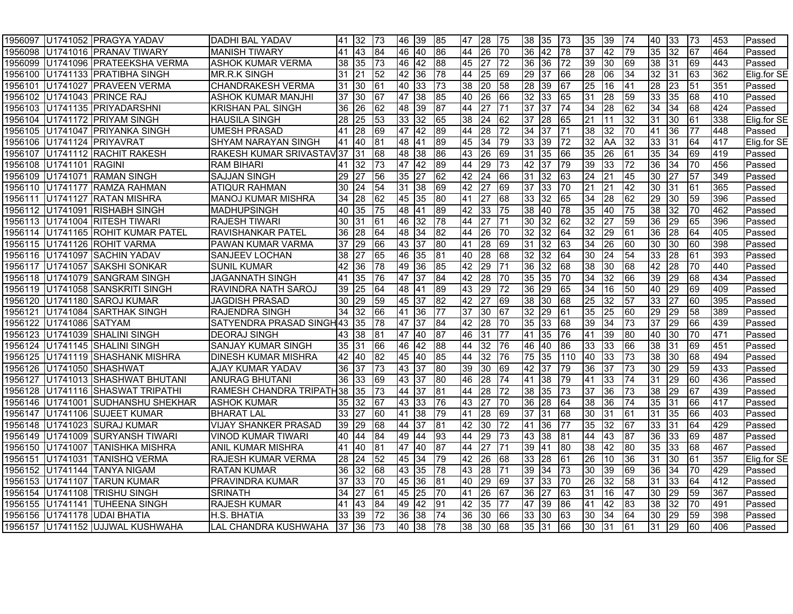|         |                         | 1956097 U1741052 PRAGYA YADAV         | DADHI BAL YADAV             | 41 | 32              | 73              | 46              | 39              | 85              | 47              | <b>28</b>       | 175              | 38                  | 135       | $\overline{73}$ | 35              | 39              | 74              | 40              | 33              | 73        | 453 | Passed      |
|---------|-------------------------|---------------------------------------|-----------------------------|----|-----------------|-----------------|-----------------|-----------------|-----------------|-----------------|-----------------|------------------|---------------------|-----------|-----------------|-----------------|-----------------|-----------------|-----------------|-----------------|-----------|-----|-------------|
|         |                         | 1956098 U1741016 PRANAV TIWARY        | <b>MANISH TIWARY</b>        | 41 | 43              | 84              | 46              | 40              | 86              | 44              | 26              | 170              | 36                  | 42        | 178             | 37              | 42              | 79              | 35              | 32              | 67        | 464 | Passed      |
| 1956099 |                         | U1741096 PRATEEKSHA VERMA             | <b>ASHOK KUMAR VERMA</b>    | 38 | $\overline{35}$ | 73              | 46              | 42              | 88              | 45              | 27              | $\overline{72}$  | $\overline{36}$     | 36        | $\overline{72}$ | 39              | 30              | 69              | $\overline{38}$ | 31              | 69        | 443 | Passed      |
|         |                         | 1956100 U1741133 PRATIBHA SINGH       | <b>MR.R.K SINGH</b>         | 31 | 21              | 52              | 42              | 36              | $\overline{78}$ | 44              | $\overline{25}$ | 169              | 29 37               |           | 66              | 28              | 06              | 34              | $\overline{32}$ | 31              | 63        | 362 | Elig.for SE |
|         |                         | 1956101 U1741027 PRAVEEN VERMA        | <b>CHANDRAKESH VERMA</b>    | 31 | $\overline{30}$ | 61              | 40              | 33              | 73              | $\overline{38}$ | $ 20\rangle$    | 58               | 28                  | 39        | 67              | 25              | 16              | $\overline{41}$ | $\overline{28}$ | 23              | 51        | 351 | Passed      |
|         |                         | 1956102 U1741043 PRINCE RAJ           | <b>ASHOK KUMAR MANJHI</b>   | 37 | 30              | 67              | 47              | 38              | 85              | 40              | 26              | 66               | 32                  | 33        | 65              | 31              | 28              | 59              | $\overline{33}$ | 35              | 68        | 410 | Passed      |
|         |                         | 1956103 U1741135 PRIYADARSHNI         | <b>KRISHAN PAL SINGH</b>    | 36 | 26              | 62              | 48              | 39              | 187             | 44              | 27              | 171              | 37 37               |           | 74              | 34              | 28              | 62              | $\overline{34}$ | 34              | 68        | 424 | Passed      |
|         |                         | 1956104 U1741172 PRIYAM SINGH         | <b>HAUSILA SINGH</b>        | 28 | 25              | 53              | 33              | 32              | 65              | 38              | 24              | 62               | $37 \ 28$           |           | 65              | 21              | 11              | 32              | 31              | 30              | 161       | 338 | Elig.for SE |
|         |                         | 1956105 U1741047 PRIYANKA SINGH       | <b>UMESH PRASAD</b>         | 41 | 28              | 69              | 47              | 42              | 89              | 44              | 28              | 72               | $34 \overline{37}$  |           | 71              | 38              | 32              | 70              | 41              | 36              | 77        | 448 | Passed      |
|         |                         | 1956106 U1741124 PRIYAVRAT            | <b>SHYAM NARAYAN SINGH</b>  | 41 | 40              | 81              | 48              | 41              | 89              | 45              | 34              | 79               | 33                  | 39        | 72              | 32              | <b>AA</b>       | 32              | 33              | 31              | 64        | 417 | Elig.for SE |
|         |                         | 1956107 U1741112 RACHIT RAKESH        | RAKESH KUMAR SRIVASTAV 37   |    | 131             | 68              | 48              | 38              | 86              | 43              | 26              | 69               | $31 \, 35$          |           | 66              | 35              | 26              | 61              | 35              | 34              | 69        | 419 | Passed      |
|         | 1956108 U1741101 RAGINI |                                       | <b>RAM BIHARI</b>           | 41 | 32              | 73              | 47              | 42              | 89              | 44              | 29              | $\overline{173}$ | 42 37               |           | 79              | 39              | 33              | 72              | 36              | 34              | 70        | 456 | Passed      |
|         |                         | 1956109 U1741071 RAMAN SINGH          | <b>SAJJAN SINGH</b>         | 29 | 27              | 56              | $\overline{35}$ | 27              | 62              | 42              | $\overline{24}$ | 66               | $31 \overline{)32}$ |           | 63              | 24              | 21              | 45              | 30              |                 | 57        | 349 | Passed      |
|         |                         | 1956110 U1741177 RAMZA RAHMAN         | ATIQUR RAHMAN               | 30 | 24              | 54              | 31              | 38              | 69              | 42              | 27              | 69               | 37 33               |           | 170             | 21              | 21              | 42              | $\overline{30}$ | 31              | 161       | 365 | Passed      |
|         |                         | 1956111  U1741127  RATAN MISHRA       | <b>MANOJ KUMAR MISHRA</b>   | 34 | 28              | 62              | 45              | 35              | 80              | 41              | 27              | 68               | 33                  | 32        | 65              | 34              | 28              | 62              | 29              | 30              | 59        | 396 | Passed      |
|         |                         | 1956112 U1741091 RISHABH SINGH        | <b>MADHUPSINGH</b>          | 40 | 35              | 75              | 48              | 41              | 89              | 42              | 33              | 175              | 38                  | 40        | 78              | 35              | 40              | 75              | 38              | 32              | 70        | 462 | Passed      |
|         |                         | 1956113   U1741004   RITESH TIWARI    | <b>RAJESH TIWARI</b>        | 30 | 31              | 61              | 46              | 32              | 78              | 44              | 27              | 171              | 30                  | 32        | 62              | 32              | 27              | 59              | 36              | 29              | 65        | 396 | Passed      |
|         |                         | 1956114 U1741165 ROHIT KUMAR PATEL    | <b>RAVISHANKAR PATEL</b>    | 36 | $\overline{28}$ | 64              | 48              | 34              | 82              | 44              | 26              | <b>1</b> 70      | 32                  | 32        | 64              | 32              | 29              | $\overline{61}$ | 36              | 28              | 64        | 405 | Passed      |
|         |                         | 1956115 U1741126 ROHIT VARMA          | PAWAN KUMAR VARMA           | 37 | 29              | 66              | 43              | 37              | 180             | 41              | $\overline{28}$ | 69               | 31 32               |           | 63              | 34              | 26              | 60              | $\overline{30}$ | 30              | 60        | 398 | Passed      |
|         |                         | 1956116 U1741097 SACHIN YADAV         | SANJEEV LOCHAN              | 38 | 27              | 65              | 46              | 35              | 81              | 40              | $\overline{28}$ | 68               | $\overline{32}$     | 32        | 64              | $\overline{30}$ | 24              | 54              | 33              | 28              | 61        | 393 | Passed      |
|         |                         | 1956117 U1741057 SAKSHI SONKAR        | <b>SUNIL KUMAR</b>          | 42 | 36              | 78              | 49              | 36              | 85              | 42              | 29              | $\overline{171}$ | 36 32               |           | 68              | 38              | 30              | 68              | 42              | 28              | 70        | 440 | Passed      |
|         |                         | 1956118 U1741079 SANGRAM SINGH        | JAGANNATH SINGH             | 41 | 35              | 76              | 47              | 37              | 84              | 42              | 28              | <b>170</b>       | 35                  | 35        | 70              | 34              | 32              | 66              | 39              | 29              | 68        | 434 | Passed      |
|         |                         | 1956119 U1741058 SANSKRITI SINGH      | RAVINDRA NATH SAROJ         | 39 | $\overline{25}$ | 64              | $\overline{48}$ | 41              | 89              | 43              | 29              | $\overline{172}$ | $\overline{36}$     | 29        | 65              | 34              | 16              | 50              | 40              | 29              | 69        | 409 | Passed      |
|         |                         | 1956120 U1741180 SAROJ KUMAR          | <b>JAGDISH PRASAD</b>       | 30 | $\overline{29}$ | 59              | 45              | 37              | 82              | 42              | 27              | 69               | 38 30               |           | 68              | 25              | 32              | 57              | 33              | 27              | 60        | 395 | Passed      |
|         |                         | 1956121 U1741084 SARTHAK SINGH        | RAJENDRA SINGH              | 34 | $\overline{32}$ | 66              | 41              | 36              | 177             | 37              | 30              | 67               | 32                  | <b>29</b> | 61              | 35              | 25              | 60              | 29              | 29              | 58        | 389 | Passed      |
|         | 1956122 U1741086 SATYAM |                                       | SATYENDRA PRASAD SINGH 43   |    | 35              | 78              | 47              | 37              | 84              | 42              | 28              | <b>170</b>       | $35 \overline{)33}$ |           | 68              | 39              | 34              | 73              | 37              | 29              | 66        | 439 | Passed      |
|         |                         | 1956123 U1741039 SHALINI SINGH        | <b>DEORAJ SINGH</b>         | 43 | 38              | 81              | 47              | 40              | 187             | 46              | 31              | 177              | 41 35               |           | 76              | 41              | 39              | 80              | 40              | 30              | 70        | 471 | Passed      |
|         |                         | 1956124 U1741145 SHALINI SINGH        | SANJAY KUMAR SINGH          | 35 | 31              | 66              | 46 42           |                 | 88              | 44              | 32              | $\overline{76}$  | 46 40               |           | 86              | 33              | 33              | 66              | 38              | 31              | 69        | 451 | Passed      |
|         |                         | 1956125 U1741119 SHASHANK MISHRA      | <b>DINESH KUMAR MISHRA</b>  | 42 | 40              | $\overline{8}$  | 45 40           |                 | 85              | 44              | 32 76           |                  | 75 35               |           | 110             | 40              | 33              | 73              | $\overline{38}$ | 30              | 68        | 494 | Passed      |
|         |                         | 1956126 U1741050 SHASHWAT             | AJAY KUMAR YADAV            | 36 | 37              | $\overline{73}$ | 43              | 37              | 80              | $\overline{39}$ | 30              | 169              | 42                  | 37        | 79              | 36              | 37              | 73              | $\overline{30}$ | 29              | 59        | 433 | Passed      |
|         |                         | 1956127   U1741013   SHASHWAT BHUTANI | ANURAG BHUTANI              | 36 | 33              | 69              | 43              | 37              | 80              | 46              | 28              | $\overline{74}$  | 41 38               |           | 79              | 41              | 33              | 74              | 31              | 29              | 60        | 436 | Passed      |
|         |                         | 1956128 U1741116 SHASWAT TRIPATHI     | RAMESH CHANDRA TRIPATH38    |    | 35              | 73              | 44              | 37              | $\overline{81}$ | 44              | $ 28\rangle$    | $\overline{172}$ | 38                  | 35        | 73              | 37              | 36              | 73              | $\overline{38}$ | 29              | 67        | 439 | Passed      |
| 1956146 |                         | U1741001 SUDHANSHU SHEKHAR            | <b>ASHOK KUMAR</b>          | 35 | 32              | 67              | 43              | 33              | 76              | 43              | 27              | 70               | 36                  | 28        | 64              | 38              | 36              | 74              | 35              | 31              | 66        | 417 | Passed      |
|         |                         | 1956147 U1741106 SUJEET KUMAR         | <b>BHARAT LAL</b>           | 33 | 27              | 60              | 41              | 38              | 79              | 41              | 28              | 69               | 37 31               |           | 68              | 30              | 31              | 61              | 31              | 35              | 66        | 403 | Passed      |
|         |                         | 1956148 U1741023 SURAJ KUMAR          | <b>VIJAY SHANKER PRASAD</b> | 39 | 29              | 68              | 44              | 37              | 81              | 42              | 30              | $\overline{172}$ | 41 36               |           | 77              | 35              | 32              | 67              | 33              | 31              | 64        | 429 | Passed      |
|         |                         | 1956149 U1741009 SURYANSH TIWARI      | <b>VINOD KUMAR TIWARI</b>   | 40 | 44              | 84              | 49              | 44              | 93              | 44              | 29              | 173              | 43 38               |           | 81              | 44              | 43              | 87              | 36              | 33              | 69        | 487 | Passed      |
|         |                         | 1956150 IU1741007 ITANISHKA MISHRA    | ANIL KUMAR MISHRA           | 41 | 40              | 81              | 47 40           |                 | 87              | 44              | 27              | 71               | 39                  | 41        | 80              | 38              | 42              | 80              | 35              | 33              | 68        | 467 | Passed      |
|         |                         | 1956151 U1741031 TANISHQ VERMA        | RAJESH KUMAR VERMA          | 28 | 24              | 52              | 45              | 34              | 79              | 42              | 26              | 168              | 33 28               |           | 61              | 26              | 10              | 36              | 31              | 30              | 161       | 357 | Elig.for SE |
|         |                         | 1956152 U1741144 TANYA NIGAM          | <b>RATAN KUMAR</b>          | 36 | $\overline{32}$ | 68              | 43              | 35              | 78              | 43              | 28              | $\overline{171}$ | 39                  | 34        | $\overline{73}$ | 30              | 39              | 69              | 36              | 34              | 70        | 429 | Passed      |
|         |                         | 1956153 U1741107 TARUN KUMAR          | PRAVINDRA KUMAR             | 37 | 33              | 70              | 45              | 36              | 81              | 40              | 29              | 169              | 37                  | 33        | 70              | 26              | 32              | 58              | 31              | 33              | 64        | 412 | Passed      |
|         |                         | 1956154 U1741108 TRISHU SINGH         | <b>SRINATH</b>              | 34 | 27              | 61              | 45              | 25              | 70              | 41              | 26              | 67               | 36                  | 27        | 63              | 31              | 16              | 47              | 30              | 29              | 59        | 367 | Passed      |
|         |                         | 1956155 IU1741141 ITUHEENA SINGH      | <b>RAJESH KUMAR</b>         | 41 | 43              | 84              | 49              | 42              | 91              | 42              | 35              | 177              | 47                  | 39        | 86              | 41              | 42              | 83              | 38              | 32              | 70        | 491 | Passed      |
|         |                         | 1956156 U1741178 UDAI BHATIA          | H.S. BHATIA                 | 33 | $\overline{39}$ | $\overline{72}$ | $\overline{36}$ | $\overline{38}$ | 74              | 36              | 30              | 66               | 33                  | 30        | 63              | 30              | 34              | 64              | 30              | 29              | 59        | 398 | Passed      |
|         |                         | 1956157 U1741152 UJJWAL KUSHWAHA      | ILAL CHANDRA KUSHWAHA       |    | 37 36           | 73              | 40              | 38              | 78              | 38              | $ 30\rangle$    | 68               | $35 \overline{)31}$ |           | 66              | 30              | $\overline{31}$ | 61              | 31              | $\overline{29}$ | <b>60</b> | 406 | Passed      |
|         |                         |                                       |                             |    |                 |                 |                 |                 |                 |                 |                 |                  |                     |           |                 |                 |                 |                 |                 |                 |           |     |             |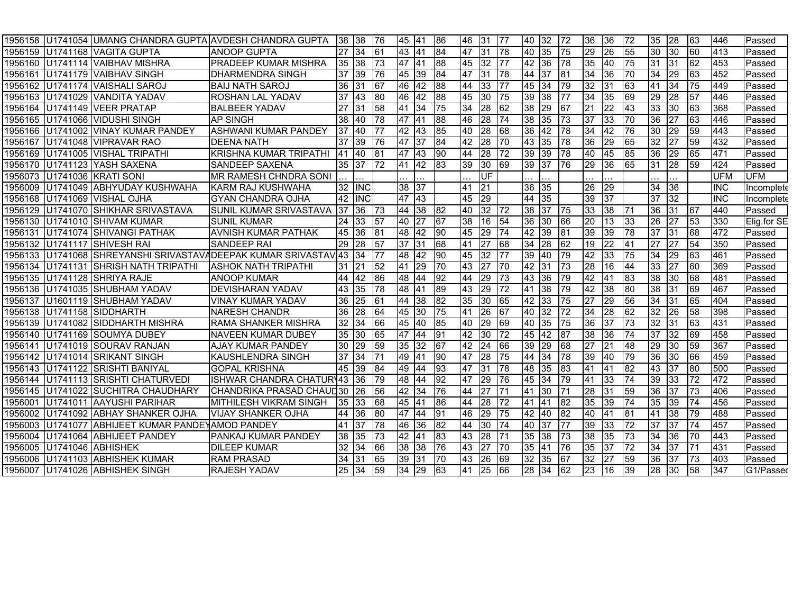|         |                                         | 1956158 U1741054 UMANG CHANDRA GUPTA AVDESH CHANDRA GUPTA | 38              | 38  | 76 | 45 41           |              | 86              | 46 | 131          | -177       | 40 32     |           | 172             | 36              | 36              | 72 | 35              | 28  | 63        | 446        | Passed      |
|---------|-----------------------------------------|-----------------------------------------------------------|-----------------|-----|----|-----------------|--------------|-----------------|----|--------------|------------|-----------|-----------|-----------------|-----------------|-----------------|----|-----------------|-----|-----------|------------|-------------|
|         | 1956159 U1741168 VAGITA GUPTA           | <b>ANOOP GUPTA</b>                                        | 27              | 34  | 61 | 43 41           |              | 84              | 47 | 31 78        |            | 40 35     |           | $\overline{75}$ | 29              | 26              | 55 | 30              | 30  | <b>60</b> | 413        | Passed      |
|         | 1956160 U1741114 VAIBHAV MISHRA         | PRADEEP KUMAR MISHRA                                      | 35              | 38  | 73 | 47 41           |              | 188             | 45 | 32 77        |            | 42 36     |           | $\overline{78}$ | 35              | 140             | 75 | 31              | 31  | 62        | 453        | Passed      |
| 1956161 | U1741179 VAIBHAV SINGH                  | <b>DHARMENDRA SINGH</b>                                   | 37              | 39  | 76 | 45              | 39           | 84              | 47 | 31           | 78         | 44 37     |           | 81              | $\overline{34}$ | 36              | 70 | $\overline{34}$ | 29  | 63        | 452        | Passed      |
|         | 1956162 U1741174 VAISHALI SAROJ         | <b>BAIJ NATH SAROJ</b>                                    | 36              | 31  | 67 | 46              | 42           | 188             | 44 | 33           | 177        | 45 34     |           | 79              | 32              | 31              | 63 | 41              | 34  | 75        | 449        | Passed      |
|         | 1956163 U1741029 VANDITA YADAV          | ROSHAN LAL YADAV                                          | 37              | 43  | 80 | 46              | 42           | 88              | 45 | 30           | 75         | 39 38     |           | 177             | 34              | 35              | 69 | 29              | 28  | 57        | 446        | Passed      |
|         | 1956164 U1741149 VEER PRATAP            | <b>BALBEER YADAV</b>                                      | 27              | 31  | 58 | 41 34           |              | 75              | 34 | 28           | 62         | 38 29     |           | 67              | 21              | 22              | 43 | 33              | 30  | 63        | 368        | Passed      |
|         | 1956165 U1741066 VIDUSHI SINGH          | <b>AP SINGH</b>                                           | 38              | 40  | 78 | 47 41           |              | 88              | 46 | 28           | 74         | 38 35     |           | $\overline{73}$ | 37              | 33              | 70 | 36              | 27  | 63        | 446        | Passed      |
| 1956166 | U1741002 VINAY KUMAR PANDEY             | <b>ASHWANI KUMAR PANDEY</b>                               | 37              | 40  |    | 42 43           |              | 85              | 40 | 28           | 168        | 36 42     |           | 178             | 34              | 42              | 76 | 30              | 29  | 59        | 443        | Passed      |
| 1956167 | U1741048 VIPRAVAR RAO                   | DEENA NATH                                                | 37              | 39  | 76 | 47              | 37           | 84              | 42 | 28           | I70        | 43        | 135       | 178             | 36              | 29              | 65 | 32              |     | 59        | 432        | Passed      |
| 1956169 | <b>IU1741005 IVISHAL TRIPATHI</b>       | KRISHNA KUMAR TRIPATHI                                    | 41              | 40  | 81 | 47              | 43           | 90              | 44 | 28           | 72         | 39        | 39        | 78              | 40              | 45              | 85 | 36              | 29  | 65        | 471        | Passed      |
|         | 1956170 U1741123 YASH SAXENA            | SANDEEP SAXENA                                            | 35              | 37  | 72 | 41              | $ 42\rangle$ | 183             | 39 | 30           | 69         | 39 37     |           | 76              | 29              | 136             | 65 | 31              | 28  | 59        | 424        | Passed      |
|         | 1956073 U1741036 KRATI SONI             | MR RAMESH CHNDRA SONI                                     |                 |     |    |                 |              |                 |    | UF           |            | $\ddotsc$ |           |                 |                 |                 |    | $\cdot$ .       |     |           | <b>UFM</b> | <b>UFM</b>  |
| 1956009 | IU1741049 IABHYUDAY KUSHWAHA            | KARM RAJ KUSHWAHA                                         | 32              | INC |    | 38              | 37           |                 | 41 | 21           |            | 36 35     |           |                 | 26              | 29              |    | 34              | 36  |           | <b>INC</b> | Incomplete  |
|         | 1956168 U1741069 VISHAL OJHA            | <b>GYAN CHANDRA OJHA</b>                                  | 42              | INC |    | 47              | 43           |                 | 45 | 29           |            | 44        | 35        |                 | 39              | 37              |    | 37              | 32  |           | <b>INC</b> | Incomplete  |
| 1956129 | U1741070 SHIKHAR SRIVASTAVA             | SUNIL KUMAR SRIVASTAVA                                    | 37              | 36  | 73 | 44              | 38           | 82              | 40 | 32           | 72         | 38 37     |           | 175             | 33              | 38              | 71 | 36              | 31  | 67        | 440        | Passed      |
|         | 1956130 U1741010 SHIVAM KUMAR           | <b>SUNIL KUMAR</b>                                        | 24              | 33  | 57 | 40              | 27           | $\overline{67}$ | 38 | 16           | 54         | 36 30     |           | 66              | 20              | 13              | 33 | $\overline{26}$ | 27  | 53        | 330        | Elig.for SE |
|         | 1956131 U1741074 SHIVANGI PATHAK        | <b>AVNISH KUMAR PATHAK</b>                                | 45              | 36  | 81 | 48              | 42           | 90              | 45 | 29           | 74         | 42 39     |           | 81              | 39              | 39              | 78 | 37              | 31  | 68        | 472        | Passed      |
|         | 1956132 U1741117 SHIVESH RAI            | <b>SANDEEP RAI</b>                                        | 29              | 28  | 57 | 37 31           |              | 168             | 41 | 27           | 68         | 34 28     |           | 62              | 19              | 22              | 41 | $\overline{27}$ | 27  | 54        | 350        | Passed      |
| 1956133 |                                         | U1741068 SHREYANSHI SRIVASTAVADEEPAK KUMAR SRIVASTA       | $\overline{43}$ | 34  |    | 48 42           |              | 90              | 45 | 32           | 177        | 39        | <b>40</b> | <b>79</b>       | 42              | 33              | 75 | $\overline{34}$ | 29  | 63        | 461        | Passed      |
| 1956134 | U1741131 SHRISH NATH TRIPATHI           | <b>ASHOK NATH TRIPATHI</b>                                | 31              | 21  | 52 | 41              | 29           | 70              | 43 | 27           | 170        | 42        | 131       | 173             | 28              | 16              | 44 | $\overline{33}$ |     | 60        | 369        | Passed      |
|         | 1956135 U1741128 SHRIYA RAJE            | <b>ANOOP KUMAR</b>                                        | 44              | 42  | 86 | 48              | 44           | 92              | 44 | 29           | 173        | 43 36     |           | <b>179</b>      | 42              | $\overline{41}$ | 83 | 38              | 30  | <b>68</b> | 481        | Passed      |
|         | 1956136 U1741035 SHUBHAM YADAV          | <b>DEVISHARAN YADAV</b>                                   | 43              | 35  | 78 | 48 41           |              | 89              | 43 | 29           | <b>172</b> | 41 38     |           | 79              | 42              | 138             | 80 | 38              | 31  | 69        | 467        | Passed      |
|         | 1956137 U1601119 SHUBHAM YADAV          | VINAY KUMAR YADAV                                         | 36              | 25  | 61 | 44 38           |              | 82              | 35 | 30           | 65         | 42 33     |           | 175             | 27              | 29              | 56 | 34              | 31  | 65        | 404        | Passed      |
|         | 1956138 U1741158 SIDDHARTH              | <b>NARESH CHANDR</b>                                      | 36              | 28  | 64 | 45              | 30           | 75              | 41 | 26           | 67         | 40 32     |           | $\overline{72}$ | 34              | 28              | 62 | $\overline{32}$ | 26  | 58        | 398        | Passed      |
|         | 1956139 IU1741082 ISIDDHARTH MISHRA     | RAMA SHANKER MISHRA                                       | 32              | 34  | 66 | 45 40           |              | 185             | 40 | 29           | 69         | 40 35     |           | 175             | 36              | 137             | 73 | 32              | l31 | 63        | 431        | Passed      |
|         | 1956140 U1741169 SOUMYA DUBEY           | NAVEEN KUMAR DUBEY                                        | 35              | 30  | 65 | 47              | 44           | 91              | 42 | 30           | 72         | 45        | <b>42</b> | 87              | 38              | 36              | 74 | $\overline{37}$ | 32  | 69        | 458        | Passed      |
| 1956141 | <b>IU1741019 ISOURAV RANJAN</b>         | AJAY KUMAR PANDEY                                         | 30              | 29  | 59 | 35              | 32           | 67              | 42 | $ 24\rangle$ | 166        | 39 29     |           | 168             | 27              | 21              | 48 | 29              | 30  | <b>59</b> | 367        | Passed      |
|         | 1956142 U1741014 SRIKANT SINGH          | KAUSHLENDRA SINGH                                         | 37              | 34  |    | 49              | 41           | 90              | 47 | 28           | 175        | 44 34     |           | $\overline{78}$ | 39              | 140             | 79 | 36              | 30  | 66        | 459        | Passed      |
|         | 1956143 U1741122 SRISHTI BANIYAL        | <b>GOPAL KRISHNA</b>                                      | 45              | 39  | 84 | 49              | 44           | 93              | 47 | 31           | 78         | 48 35     |           | 83              | 41              | 41              | 82 | 43              | 37  | <b>80</b> | 500        | Passed      |
| 1956144 | U1741113 SRISHTI CHATURVEDI             | <b>ISHWAR CHANDRA CHATUR</b>                              | 43              | 36  | 79 | $\overline{48}$ | 44           | 92              | 47 | 29           | 176        | 45 34     |           | 79              | 41              | 33              | 74 | 39              | 33  | 72        | 472        | Passed      |
| 1956145 | U1741022 SUCHITRA CHAUDHARY             | CHANDRIKA PRASAD CHAUD30                                  |                 | 26  | 56 | $\overline{42}$ | 34           | 76              | 44 |              | 71         | 41        | 130       | I71             | 28              | 31              | 59 | 36              | 37  | 73        | 406        | Passed      |
| 1956001 | U1741011 AAYUSHI PARIHAR                | <b>MITHILESH VIKRAM SINGH</b>                             | 35              | 33  | 68 | 45              | 41           | 186             | 44 | 28           | 172        | 41        | 41        | 82              | 35              | 139             | 74 | 35              | 39  | 74        | 456        | Passed      |
| 1956002 | U1741092 ABHAY SHANKER OJHA             | <b>VIJAY SHANKER OJHA</b>                                 | 44              | 36  | 80 | 47              | 44           | 91              | 46 | 29           | <b>75</b>  | 42 40     |           | 82              | 40              | 41              | 81 | 41              | 38  | 79        | 488        | Passed      |
| 1956003 | <b>IU1741077 IABHIJEET KUMAR PANDEY</b> | <b>AMOD PANDEY</b>                                        | 41              | 37  | 78 | 46              | 36           | 82              | 44 | 30           | 74         | 40 37     |           | 177             | 39              | 133             | 72 | 37              | 37  | 74        | 457        | Passed      |
|         | 1956004 U1741064 ABHIJEET PANDEY        | PANKAJ KUMAR PANDEY                                       | 38              | 35  | 73 | 42 41           |              | 83              | 43 | 28           | 171        | 35 38     |           | 173             | $\overline{38}$ | 35              | 73 | 34              | 36  | 70        | 443        | Passed      |
| 1956005 | U1741046 ABHISHEK                       | <b>DILEEP KUMAR</b>                                       | 32              | 34  | 66 | 38              | 38           | 76              | 43 | 27           | <b>170</b> | 35 41     |           | 76              | 35              | 137             | 72 | 34              | 37  | 71        | 431        | Passed      |
| 1956006 | <b>IU1741103 IABHISHEK KUMAR</b>        | <b>RAM PRASAD</b>                                         | 34              | 31  | 65 | 39              | 31           | 170             | 43 | 26           | 69         | 32        | 35        | 67              | 32              | 27              | 59 | 36              | 37  | 173       | 403        | Passed      |
|         | 1956007 U1741026 ABHISHEK SINGH         | <b>RAJESH YADAV</b>                                       | 25              | 34  | 59 | 34              | 29           | 63              | 41 | 25           | 66         | 28 34     |           | 62              | 23              | 16              | 39 | 28              | 30  | 58        | 347        | G1/Passed   |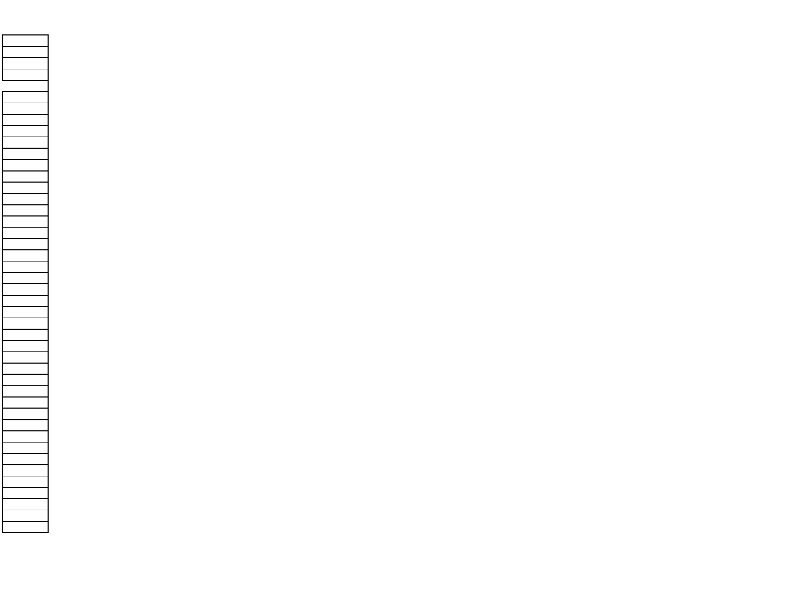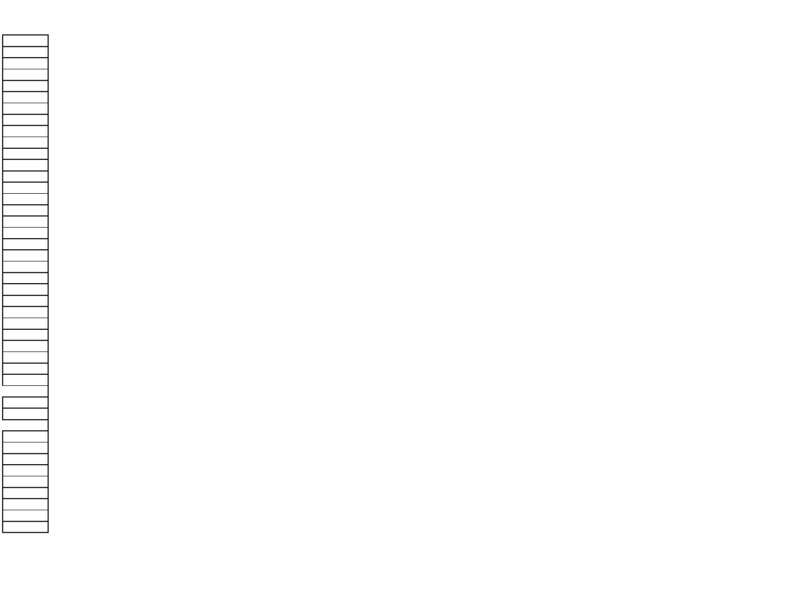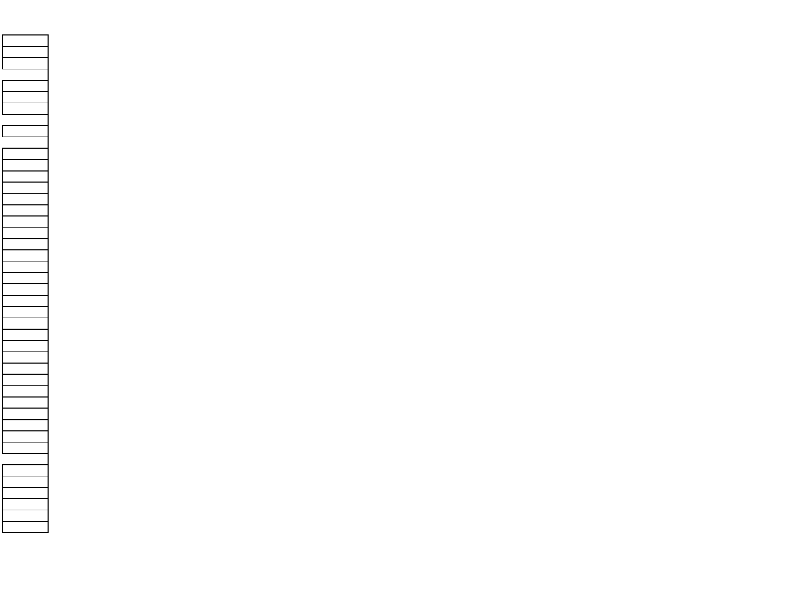